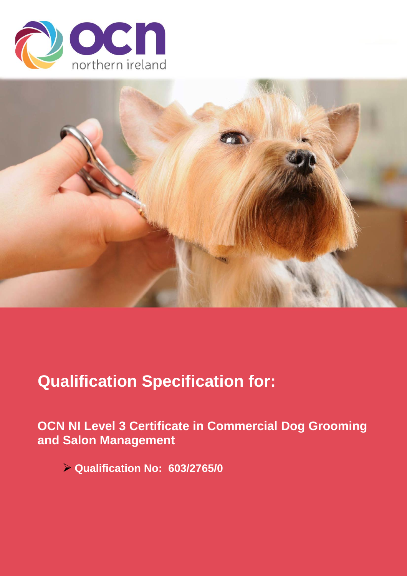



# **Qualification Specification for:**

**OCN NI Level 3 Certificate in Commercial Dog Grooming and Salon Management**

➢ **Qualification No: 603/2765/0**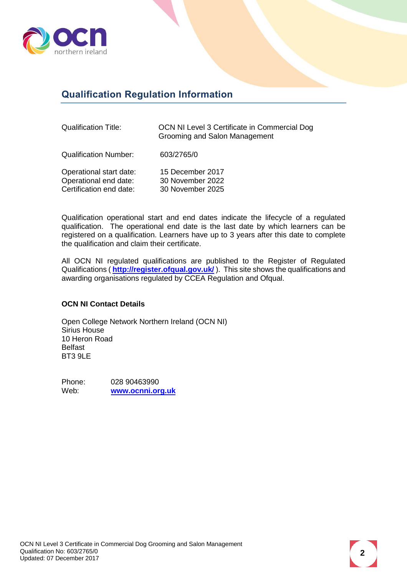

# <span id="page-1-0"></span>**Qualification Regulation Information**

| <b>Qualification Title:</b> | OCN NI Level 3 Certificate in Commercial Dog<br>Grooming and Salon Management |
|-----------------------------|-------------------------------------------------------------------------------|
| Qualification Number:       | 603/2765/0                                                                    |
|                             |                                                                               |

| 15 December 2017 |
|------------------|
| 30 November 2022 |
| 30 November 2025 |
|                  |

Qualification operational start and end dates indicate the lifecycle of a regulated qualification. The operational end date is the last date by which learners can be registered on a qualification. Learners have up to 3 years after this date to complete the qualification and claim their certificate.

All OCN NI regulated qualifications are published to the Register of Regulated Qualifications ( **<http://register.ofqual.gov.uk/>** ). This site shows the qualifications and awarding organisations regulated by CCEA Regulation and Ofqual.

#### **OCN NI Contact Details**

Open College Network Northern Ireland (OCN NI) Sirius House 10 Heron Road Belfast BT3 9LE

Phone: 028 90463990<br>
Web: www.ocnni.or Web: **[www.ocnni.org.uk](http://www.ocnni.org.uk/)**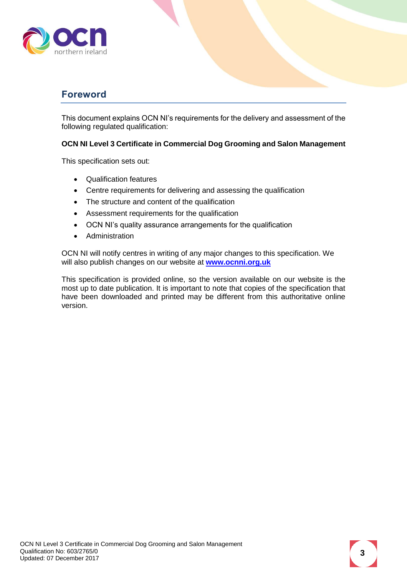

### <span id="page-2-0"></span>**Foreword**

This document explains OCN NI's requirements for the delivery and assessment of the following regulated qualification:

#### **OCN NI Level 3 Certificate in Commercial Dog Grooming and Salon Management**

This specification sets out:

- Qualification features
- Centre requirements for delivering and assessing the qualification
- The structure and content of the qualification
- Assessment requirements for the qualification
- OCN NI's quality assurance arrangements for the qualification
- Administration

OCN NI will notify centres in writing of any major changes to this specification. We will also publish changes on our website at **[www.ocnni.org.uk](http://www.ocnni.org.uk/)**

This specification is provided online, so the version available on our website is the most up to date publication. It is important to note that copies of the specification that have been downloaded and printed may be different from this authoritative online version.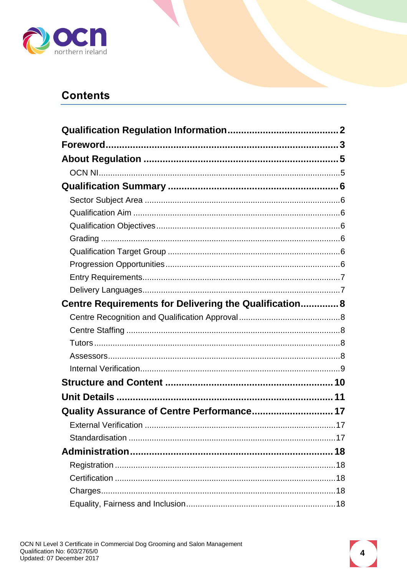

# **Contents**

| Centre Requirements for Delivering the Qualification 8 |  |
|--------------------------------------------------------|--|
|                                                        |  |
|                                                        |  |
|                                                        |  |
|                                                        |  |
|                                                        |  |
|                                                        |  |
|                                                        |  |
| Quality Assurance of Centre Performance 17             |  |
|                                                        |  |
|                                                        |  |
|                                                        |  |
|                                                        |  |
|                                                        |  |
|                                                        |  |
|                                                        |  |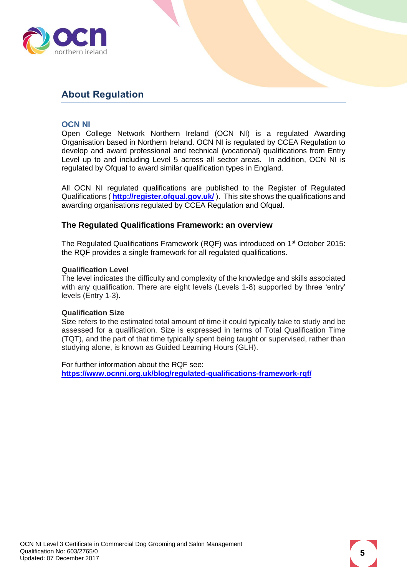

## <span id="page-4-0"></span>**About Regulation**

#### <span id="page-4-1"></span>**OCN NI**

Open College Network Northern Ireland (OCN NI) is a regulated Awarding Organisation based in Northern Ireland. OCN NI is regulated by CCEA Regulation to develop and award professional and technical (vocational) qualifications from Entry Level up to and including Level 5 across all sector areas. In addition, OCN NI is regulated by Ofqual to award similar qualification types in England.

All OCN NI regulated qualifications are published to the Register of Regulated Qualifications (**<http://register.ofqual.gov.uk/>**). This site shows the qualifications and awarding organisations regulated by CCEA Regulation and Ofqual.

#### **The Regulated Qualifications Framework: an overview**

The Regulated Qualifications Framework (RQF) was introduced on 1<sup>st</sup> October 2015: the RQF provides a single framework for all regulated qualifications.

#### **Qualification Level**

The level indicates the difficulty and complexity of the knowledge and skills associated with any qualification. There are eight levels (Levels 1-8) supported by three 'entry' levels (Entry 1-3).

#### **Qualification Size**

Size refers to the estimated total amount of time it could typically take to study and be assessed for a qualification. Size is expressed in terms of Total Qualification Time (TQT), and the part of that time typically spent being taught or supervised, rather than studying alone, is known as Guided Learning Hours (GLH).

For further information about the RQF see: **<https://www.ocnni.org.uk/blog/regulated-qualifications-framework-rqf/>**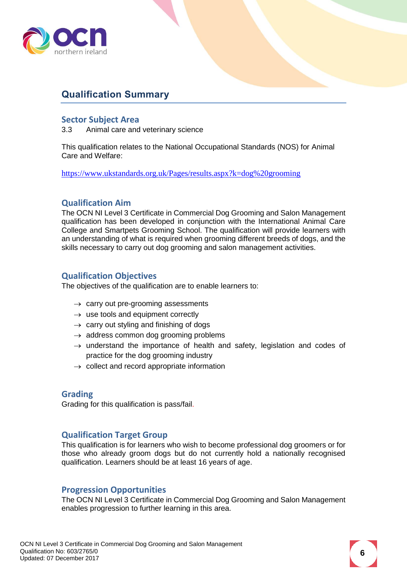

# <span id="page-5-0"></span>**Qualification Summary**

#### <span id="page-5-1"></span>**Sector Subject Area**

3.3 Animal care and veterinary science

This qualification relates to the National Occupational Standards (NOS) for Animal Care and Welfare:

<https://www.ukstandards.org.uk/Pages/results.aspx?k=dog%20grooming>

#### <span id="page-5-2"></span>**Qualification Aim**

The OCN NI Level 3 Certificate in Commercial Dog Grooming and Salon Management qualification has been developed in conjunction with the International Animal Care College and Smartpets Grooming School. The qualification will provide learners with an understanding of what is required when grooming different breeds of dogs, and the skills necessary to carry out dog grooming and salon management activities.

#### <span id="page-5-3"></span>**Qualification Objectives**

The objectives of the qualification are to enable learners to:

- $\rightarrow$  carry out pre-grooming assessments
- $\rightarrow$  use tools and equipment correctly
- $\rightarrow$  carry out styling and finishing of dogs
- $\rightarrow$  address common dog grooming problems
- $\rightarrow$  understand the importance of health and safety, legislation and codes of practice for the dog grooming industry
- $\rightarrow$  collect and record appropriate information

#### <span id="page-5-4"></span>**Grading**

Grading for this qualification is pass/fail.

#### <span id="page-5-5"></span>**Qualification Target Group**

This qualification is for learners who wish to become professional dog groomers or for those who already groom dogs but do not currently hold a nationally recognised qualification. Learners should be at least 16 years of age.

#### <span id="page-5-6"></span>**Progression Opportunities**

The OCN NI Level 3 Certificate in Commercial Dog Grooming and Salon Management enables progression to further learning in this area.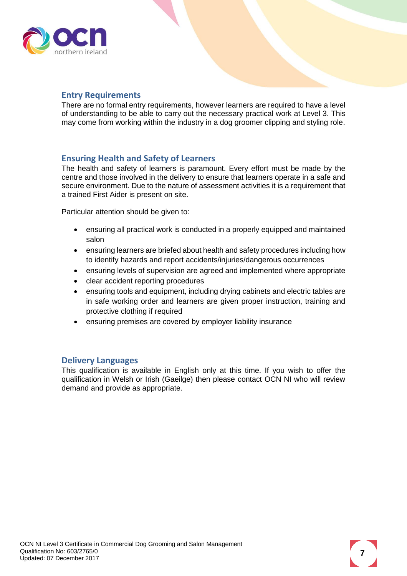

#### <span id="page-6-0"></span>**Entry Requirements**

There are no formal entry requirements, however learners are required to have a level of understanding to be able to carry out the necessary practical work at Level 3. This may come from working within the industry in a dog groomer clipping and styling role.

#### **Ensuring Health and Safety of Learners**

The health and safety of learners is paramount. Every effort must be made by the centre and those involved in the delivery to ensure that learners operate in a safe and secure environment. Due to the nature of assessment activities it is a requirement that a trained First Aider is present on site.

Particular attention should be given to:

- ensuring all practical work is conducted in a properly equipped and maintained salon
- ensuring learners are briefed about health and safety procedures including how to identify hazards and report accidents/injuries/dangerous occurrences
- ensuring levels of supervision are agreed and implemented where appropriate
- clear accident reporting procedures
- ensuring tools and equipment, including drying cabinets and electric tables are in safe working order and learners are given proper instruction, training and protective clothing if required
- ensuring premises are covered by employer liability insurance

#### <span id="page-6-1"></span>**Delivery Languages**

This qualification is available in English only at this time. If you wish to offer the qualification in Welsh or Irish (Gaeilge) then please contact OCN NI who will review demand and provide as appropriate.

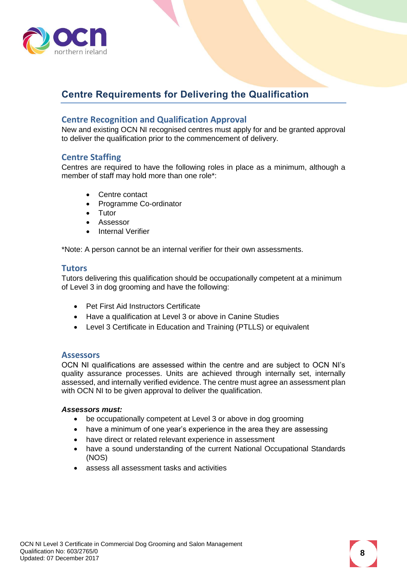

# <span id="page-7-0"></span>**Centre Requirements for Delivering the Qualification**

#### <span id="page-7-1"></span>**Centre Recognition and Qualification Approval**

New and existing OCN NI recognised centres must apply for and be granted approval to deliver the qualification prior to the commencement of delivery.

#### <span id="page-7-2"></span>**Centre Staffing**

Centres are required to have the following roles in place as a minimum, although a member of staff may hold more than one role\*:

- Centre contact
- Programme Co-ordinator
- Tutor
- Assessor
- Internal Verifier

\*Note: A person cannot be an internal verifier for their own assessments.

#### <span id="page-7-3"></span>**Tutors**

Tutors delivering this qualification should be occupationally competent at a minimum of Level 3 in dog grooming and have the following:

- Pet First Aid Instructors Certificate
- Have a qualification at Level 3 or above in Canine Studies
- Level 3 Certificate in Education and Training (PTLLS) or equivalent

#### <span id="page-7-4"></span>**Assessors**

OCN NI qualifications are assessed within the centre and are subject to OCN NI's quality assurance processes. Units are achieved through internally set, internally assessed, and internally verified evidence. The centre must agree an assessment plan with OCN NI to be given approval to deliver the qualification.

#### *Assessors must:*

- be occupationally competent at Level 3 or above in dog grooming
- have a minimum of one year's experience in the area they are assessing
- have direct or related relevant experience in assessment
- have a sound understanding of the current National Occupational Standards (NOS)
- assess all assessment tasks and activities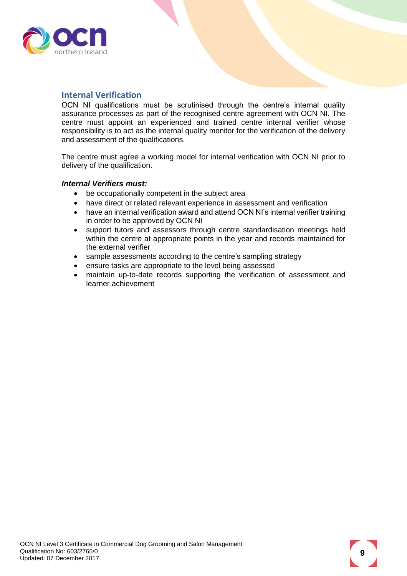

#### <span id="page-8-0"></span>**Internal Verification**

OCN NI qualifications must be scrutinised through the centre's internal quality assurance processes as part of the recognised centre agreement with OCN NI. The centre must appoint an experienced and trained centre internal verifier whose responsibility is to act as the internal quality monitor for the verification of the delivery and assessment of the qualifications.

The centre must agree a working model for internal verification with OCN NI prior to delivery of the qualification.

#### *Internal Verifiers must:*

- be occupationally competent in the subject area
- have direct or related relevant experience in assessment and verification
- have an internal verification award and attend OCN NI's internal verifier training in order to be approved by OCN NI
- support tutors and assessors through centre standardisation meetings held within the centre at appropriate points in the year and records maintained for the external verifier
- sample assessments according to the centre's sampling strategy
- ensure tasks are appropriate to the level being assessed
- maintain up-to-date records supporting the verification of assessment and learner achievement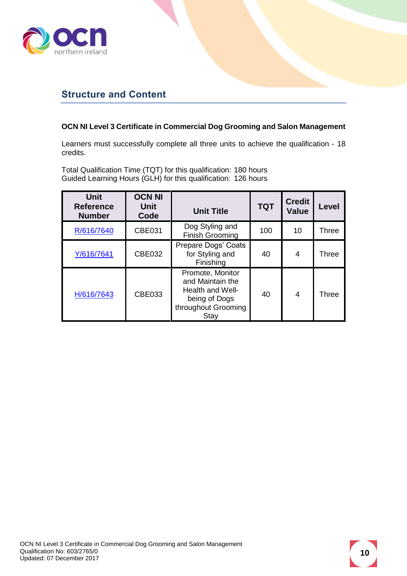

### <span id="page-9-0"></span>**Structure and Content**

#### **OCN NI Level 3 Certificate in Commercial Dog Grooming and Salon Management**

Learners must successfully complete all three units to achieve the qualification - 18 credits.

Total Qualification Time (TQT) for this qualification: 180 hours Guided Learning Hours (GLH) for this qualification: 126 hours

| <b>Unit</b><br><b>Reference</b><br><b>Number</b> | <b>OCN NI</b><br><b>Unit</b><br>Code | <b>Unit Title</b>                                                                                        | <b>TQT</b> | <b>Credit</b><br><b>Value</b> | Level        |
|--------------------------------------------------|--------------------------------------|----------------------------------------------------------------------------------------------------------|------------|-------------------------------|--------------|
| R/616/7640                                       | <b>CBE031</b>                        | Dog Styling and<br><b>Finish Grooming</b>                                                                | 100        | 10                            | Three        |
| Y/616/7641                                       | <b>CBE032</b>                        | Prepare Dogs' Coats<br>for Styling and<br>Finishing                                                      | 40         | 4                             | <b>Three</b> |
| H/616/7643                                       | CBE033                               | Promote, Monitor<br>and Maintain the<br>Health and Well-<br>being of Dogs<br>throughout Grooming<br>Stay | 40         | 4                             | <b>Three</b> |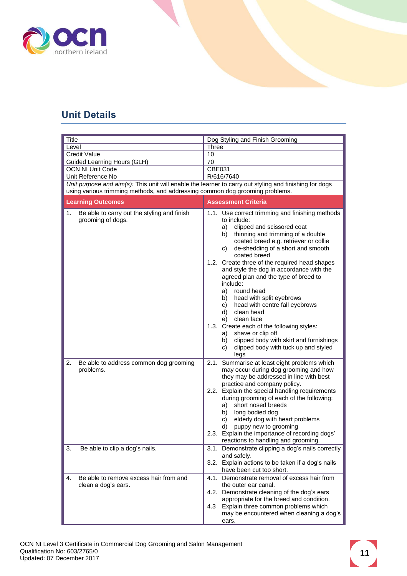

# <span id="page-10-0"></span>**Unit Details**

<span id="page-10-1"></span>

| Title |                                                                                                        |        | Dog Styling and Finish Grooming                                                                                                                                                                                                                                                                                                                                                                                                                                                                                                                                                                                                                                                                                         |
|-------|--------------------------------------------------------------------------------------------------------|--------|-------------------------------------------------------------------------------------------------------------------------------------------------------------------------------------------------------------------------------------------------------------------------------------------------------------------------------------------------------------------------------------------------------------------------------------------------------------------------------------------------------------------------------------------------------------------------------------------------------------------------------------------------------------------------------------------------------------------------|
| Level |                                                                                                        | Three  |                                                                                                                                                                                                                                                                                                                                                                                                                                                                                                                                                                                                                                                                                                                         |
|       | <b>Credit Value</b>                                                                                    | 10     |                                                                                                                                                                                                                                                                                                                                                                                                                                                                                                                                                                                                                                                                                                                         |
|       | Guided Learning Hours (GLH)                                                                            | 70     |                                                                                                                                                                                                                                                                                                                                                                                                                                                                                                                                                                                                                                                                                                                         |
|       | <b>OCN NI Unit Code</b>                                                                                | CBE031 |                                                                                                                                                                                                                                                                                                                                                                                                                                                                                                                                                                                                                                                                                                                         |
|       | Unit Reference No                                                                                      |        | R/616/7640                                                                                                                                                                                                                                                                                                                                                                                                                                                                                                                                                                                                                                                                                                              |
|       | Unit purpose and aim(s): This unit will enable the learner to carry out styling and finishing for dogs |        |                                                                                                                                                                                                                                                                                                                                                                                                                                                                                                                                                                                                                                                                                                                         |
|       | using various trimming methods, and addressing common dog grooming problems.                           |        |                                                                                                                                                                                                                                                                                                                                                                                                                                                                                                                                                                                                                                                                                                                         |
|       | <b>Learning Outcomes</b>                                                                               |        | <b>Assessment Criteria</b>                                                                                                                                                                                                                                                                                                                                                                                                                                                                                                                                                                                                                                                                                              |
| 1.    | Be able to carry out the styling and finish<br>grooming of dogs.                                       |        | 1.1. Use correct trimming and finishing methods<br>to include:<br>clipped and scissored coat<br>a)<br>thinning and trimming of a double<br>b)<br>coated breed e.g. retriever or collie<br>de-shedding of a short and smooth<br>C)<br>coated breed<br>1.2. Create three of the required head shapes<br>and style the dog in accordance with the<br>agreed plan and the type of breed to<br>include:<br>round head<br>a)<br>head with split eyebrows<br>b)<br>head with centre fall eyebrows<br>c)<br>clean head<br>d)<br>clean face<br>e)<br>1.3. Create each of the following styles:<br>shave or clip off<br>a)<br>clipped body with skirt and furnishings<br>b)<br>clipped body with tuck up and styled<br>C)<br>legs |
| 2.    | Be able to address common dog grooming<br>problems.                                                    |        | 2.1. Summarise at least eight problems which<br>may occur during dog grooming and how<br>they may be addressed in line with best<br>practice and company policy.<br>2.2. Explain the special handling requirements<br>during grooming of each of the following:<br>short nosed breeds<br>a)<br>long bodied dog<br>b)<br>elderly dog with heart problems<br>C)<br>puppy new to grooming<br>d)<br>2.3. Explain the importance of recording dogs'<br>reactions to handling and grooming.                                                                                                                                                                                                                                   |
| 3.    | Be able to clip a dog's nails.                                                                         |        | 3.1. Demonstrate clipping a dog's nails correctly<br>and safely.<br>3.2. Explain actions to be taken if a dog's nails<br>have been cut too short.                                                                                                                                                                                                                                                                                                                                                                                                                                                                                                                                                                       |
| 4.    | Be able to remove excess hair from and<br>clean a dog's ears.                                          |        | 4.1. Demonstrate removal of excess hair from<br>the outer ear canal.<br>4.2. Demonstrate cleaning of the dog's ears<br>appropriate for the breed and condition.<br>4.3 Explain three common problems which<br>may be encountered when cleaning a dog's<br>ears.                                                                                                                                                                                                                                                                                                                                                                                                                                                         |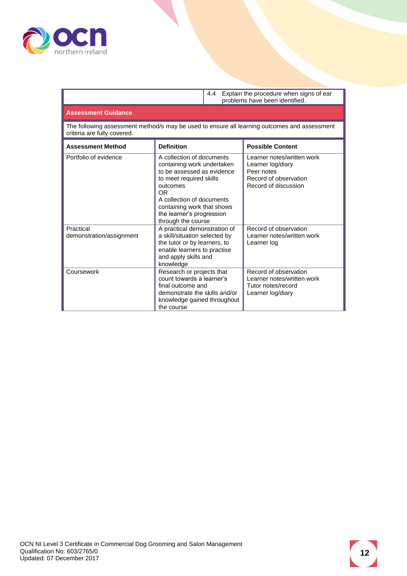

4.4 Explain the procedure when signs of ear problems have been identified.

#### **Assessment Guidance**

The following assessment method/s may be used to ensure all learning outcomes and assessment criteria are fully covered.

| <b>Assessment Method</b>              | <b>Definition</b>                                                                                                                                                                                                                                 | <b>Possible Content</b>                                                                                        |
|---------------------------------------|---------------------------------------------------------------------------------------------------------------------------------------------------------------------------------------------------------------------------------------------------|----------------------------------------------------------------------------------------------------------------|
| Portfolio of evidence                 | A collection of documents<br>containing work undertaken<br>to be assessed as evidence<br>to meet required skills<br>outcomes<br>OR.<br>A collection of documents<br>containing work that shows<br>the learner's progression<br>through the course | Learner notes/written work<br>Learner log/diary<br>Peer notes<br>Record of observation<br>Record of discussion |
| Practical<br>demonstration/assignment | A practical demonstration of<br>a skill/situation selected by<br>the tutor or by learners, to<br>enable learners to practise<br>and apply skills and<br>knowledge                                                                                 | Record of observation<br>Learner notes/written work<br>Learner log                                             |
| Coursework                            | Research or projects that<br>count towards a learner's<br>final outcome and<br>demonstrate the skills and/or<br>knowledge gained throughout<br>the course                                                                                         | Record of observation<br>Learner notes/written work<br>Tutor notes/record<br>Learner log/diary                 |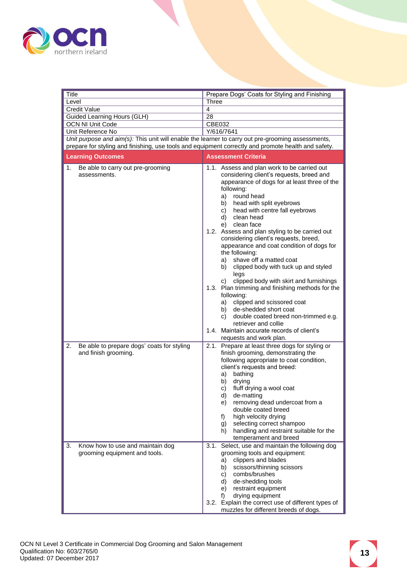

<span id="page-12-0"></span>

| Title                                                                                               | Prepare Dogs' Coats for Styling and Finishing                                                                                                                                                                                                                                                                                                                                                                                                                                                                                                                                                                                                                                                                                                      |
|-----------------------------------------------------------------------------------------------------|----------------------------------------------------------------------------------------------------------------------------------------------------------------------------------------------------------------------------------------------------------------------------------------------------------------------------------------------------------------------------------------------------------------------------------------------------------------------------------------------------------------------------------------------------------------------------------------------------------------------------------------------------------------------------------------------------------------------------------------------------|
| Level                                                                                               | <b>Three</b>                                                                                                                                                                                                                                                                                                                                                                                                                                                                                                                                                                                                                                                                                                                                       |
| <b>Credit Value</b>                                                                                 | 4                                                                                                                                                                                                                                                                                                                                                                                                                                                                                                                                                                                                                                                                                                                                                  |
| Guided Learning Hours (GLH)                                                                         | 28                                                                                                                                                                                                                                                                                                                                                                                                                                                                                                                                                                                                                                                                                                                                                 |
| <b>OCN NI Unit Code</b>                                                                             | CBE032                                                                                                                                                                                                                                                                                                                                                                                                                                                                                                                                                                                                                                                                                                                                             |
| Unit Reference No                                                                                   | Y/616/7641                                                                                                                                                                                                                                                                                                                                                                                                                                                                                                                                                                                                                                                                                                                                         |
| Unit purpose and aim(s): This unit will enable the learner to carry out pre-grooming assessments,   |                                                                                                                                                                                                                                                                                                                                                                                                                                                                                                                                                                                                                                                                                                                                                    |
| prepare for styling and finishing, use tools and equipment correctly and promote health and safety. |                                                                                                                                                                                                                                                                                                                                                                                                                                                                                                                                                                                                                                                                                                                                                    |
| <b>Learning Outcomes</b>                                                                            | <b>Assessment Criteria</b>                                                                                                                                                                                                                                                                                                                                                                                                                                                                                                                                                                                                                                                                                                                         |
| Be able to carry out pre-grooming<br>1.<br>assessments.                                             | 1.1. Assess and plan work to be carried out<br>considering client's requests, breed and<br>appearance of dogs for at least three of the<br>following:<br>a) round head<br>b) head with split eyebrows<br>c) head with centre fall eyebrows<br>d) clean head<br>e) clean face<br>1.2. Assess and plan styling to be carried out<br>considering client's requests, breed,<br>appearance and coat condition of dogs for<br>the following:<br>a) shave off a matted coat<br>b) clipped body with tuck up and styled<br>legs<br>clipped body with skirt and furnishings<br>C)<br>1.3. Plan trimming and finishing methods for the<br>following:<br>a) clipped and scissored coat<br>b) de-shedded short coat<br>c) double coated breed non-trimmed e.g. |
|                                                                                                     | retriever and collie<br>1.4. Maintain accurate records of client's<br>requests and work plan.                                                                                                                                                                                                                                                                                                                                                                                                                                                                                                                                                                                                                                                      |
| 2.<br>Be able to prepare dogs' coats for styling<br>and finish grooming.                            | 2.1. Prepare at least three dogs for styling or<br>finish grooming, demonstrating the<br>following appropriate to coat condition,<br>client's requests and breed:<br>a) bathing<br>b) drying<br>fluff drying a wool coat<br>c)<br>d)<br>de-matting<br>removing dead undercoat from a<br>e).<br>double coated breed<br>high velocity drying<br>f)<br>selecting correct shampoo<br>g)<br>handling and restraint suitable for the<br>h)<br>temperament and breed                                                                                                                                                                                                                                                                                      |
| 3.<br>Know how to use and maintain dog<br>grooming equipment and tools.                             | Select, use and maintain the following dog<br>3.1.<br>grooming tools and equipment:<br>clippers and blades<br>a)<br>scissors/thinning scissors<br>b)<br>combs/brushes<br>C)<br>de-shedding tools<br>d)<br>restraint equipment<br>e)<br>drying equipment<br>f)<br>3.2. Explain the correct use of different types of<br>muzzles for different breeds of dogs.                                                                                                                                                                                                                                                                                                                                                                                       |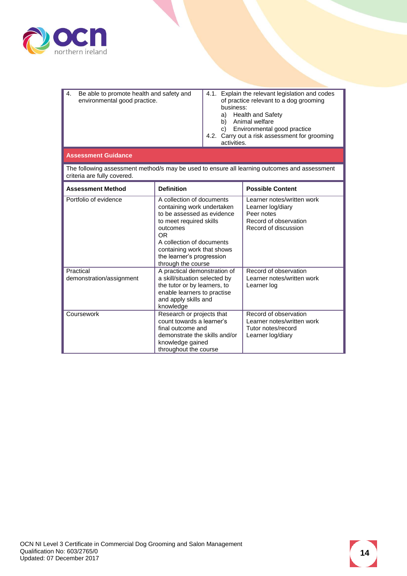

| 4. | Be able to promote health and safety and<br>environmental good practice. |  | 4.1. Explain the relevant legislation and codes<br>of practice relevant to a dog grooming<br>business:<br>Health and Safety<br>a)<br>Animal welfare<br>Environmental good practice<br>4.2. Carry out a risk assessment for grooming<br>activities. |
|----|--------------------------------------------------------------------------|--|----------------------------------------------------------------------------------------------------------------------------------------------------------------------------------------------------------------------------------------------------|
|----|--------------------------------------------------------------------------|--|----------------------------------------------------------------------------------------------------------------------------------------------------------------------------------------------------------------------------------------------------|

#### **Assessment Guidance**

The following assessment method/s may be used to ensure all learning outcomes and assessment criteria are fully covered.

| <b>Assessment Method</b>              | <b>Definition</b>                                                                                                                                                                                                                                 | <b>Possible Content</b>                                                                                        |
|---------------------------------------|---------------------------------------------------------------------------------------------------------------------------------------------------------------------------------------------------------------------------------------------------|----------------------------------------------------------------------------------------------------------------|
| Portfolio of evidence                 | A collection of documents<br>containing work undertaken<br>to be assessed as evidence<br>to meet required skills<br>outcomes<br>OR.<br>A collection of documents<br>containing work that shows<br>the learner's progression<br>through the course | Learner notes/written work<br>Learner log/diary<br>Peer notes<br>Record of observation<br>Record of discussion |
| Practical<br>demonstration/assignment | A practical demonstration of<br>a skill/situation selected by<br>the tutor or by learners, to<br>enable learners to practise<br>and apply skills and<br>knowledge                                                                                 | Record of observation<br>Learner notes/written work<br>Learner log                                             |
| Coursework                            | Research or projects that<br>count towards a learner's<br>final outcome and<br>demonstrate the skills and/or<br>knowledge gained<br>throughout the course                                                                                         | Record of observation<br>Learner notes/written work<br>Tutor notes/record<br>Learner log/diary                 |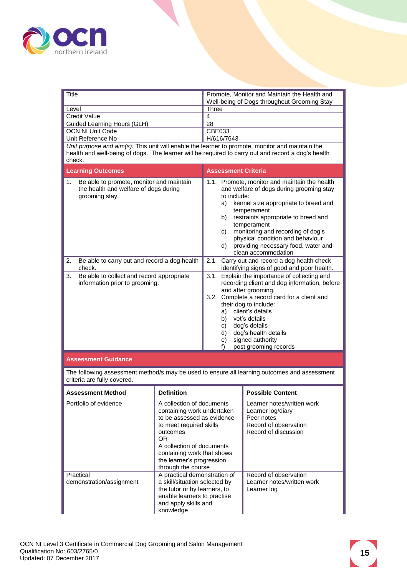

<span id="page-14-0"></span>

| Title                                                                                                                                                                                                           | Promote, Monitor and Maintain the Health and                                                                                                                                                                                                                                                                                                                                         |
|-----------------------------------------------------------------------------------------------------------------------------------------------------------------------------------------------------------------|--------------------------------------------------------------------------------------------------------------------------------------------------------------------------------------------------------------------------------------------------------------------------------------------------------------------------------------------------------------------------------------|
|                                                                                                                                                                                                                 | Well-being of Dogs throughout Grooming Stay                                                                                                                                                                                                                                                                                                                                          |
| Level                                                                                                                                                                                                           | Three                                                                                                                                                                                                                                                                                                                                                                                |
| <b>Credit Value</b>                                                                                                                                                                                             | $\overline{4}$                                                                                                                                                                                                                                                                                                                                                                       |
| Guided Learning Hours (GLH)                                                                                                                                                                                     | 28                                                                                                                                                                                                                                                                                                                                                                                   |
| <b>OCN NI Unit Code</b>                                                                                                                                                                                         | CBE033                                                                                                                                                                                                                                                                                                                                                                               |
| Unit Reference No                                                                                                                                                                                               | H/616/7643                                                                                                                                                                                                                                                                                                                                                                           |
| Unit purpose and aim(s): This unit will enable the learner to promote, monitor and maintain the<br>health and well-being of dogs. The learner will be required to carry out and record a dog's health<br>check. |                                                                                                                                                                                                                                                                                                                                                                                      |
| <b>Learning Outcomes</b>                                                                                                                                                                                        | <b>Assessment Criteria</b>                                                                                                                                                                                                                                                                                                                                                           |
| Be able to promote, monitor and maintain<br>1.<br>the health and welfare of dogs during<br>grooming stay.                                                                                                       | 1.1. Promote, monitor and maintain the health<br>and welfare of dogs during grooming stay<br>to include:<br>kennel size appropriate to breed and<br>a)<br>temperament<br>restraints appropriate to breed and<br>b)<br>temperament<br>monitoring and recording of dog's<br>c)<br>physical condition and behaviour<br>providing necessary food, water and<br>d)<br>clean accommodation |
| 2.<br>Be able to carry out and record a dog health<br>check.                                                                                                                                                    | 2.1.<br>Carry out and record a dog health check<br>identifying signs of good and poor health.                                                                                                                                                                                                                                                                                        |
| Be able to collect and record appropriate<br>3.<br>information prior to grooming.                                                                                                                               | 3.1. Explain the importance of collecting and<br>recording client and dog information, before<br>and after grooming.<br>3.2. Complete a record card for a client and<br>their dog to include:<br>a) client's details<br>b) vet's details<br>dog's details<br>C)<br>dog's health details<br>d)<br>signed authority<br>e)<br>post grooming records<br>f)                               |
| <b>Assessment Guidance</b>                                                                                                                                                                                      |                                                                                                                                                                                                                                                                                                                                                                                      |

The following assessment method/s may be used to ensure all learning outcomes and assessment criteria are fully covered.

| <b>Assessment Method</b>              | <b>Definition</b>                                                                                                                                                                                                                                 | <b>Possible Content</b>                                                                                        |
|---------------------------------------|---------------------------------------------------------------------------------------------------------------------------------------------------------------------------------------------------------------------------------------------------|----------------------------------------------------------------------------------------------------------------|
| Portfolio of evidence                 | A collection of documents<br>containing work undertaken<br>to be assessed as evidence<br>to meet required skills<br>outcomes<br>OR.<br>A collection of documents<br>containing work that shows<br>the learner's progression<br>through the course | Learner notes/written work<br>Learner log/diary<br>Peer notes<br>Record of observation<br>Record of discussion |
| Practical<br>demonstration/assignment | A practical demonstration of<br>a skill/situation selected by<br>the tutor or by learners, to<br>enable learners to practise<br>and apply skills and<br>knowledge                                                                                 | Record of observation<br>Learner notes/written work<br>Learner log                                             |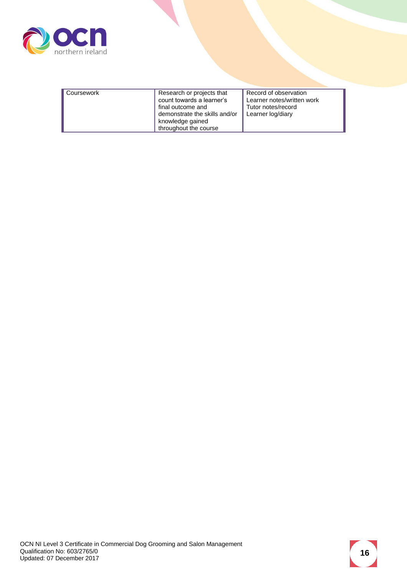

| Record of observation<br>Research or projects that<br>Coursework<br>count towards a learner's<br>Learner notes/written work<br>final outcome and<br>Tutor notes/record<br>demonstrate the skills and/or<br>Learner log/diary |                  |  |
|------------------------------------------------------------------------------------------------------------------------------------------------------------------------------------------------------------------------------|------------------|--|
| throughout the course                                                                                                                                                                                                        | knowledge gained |  |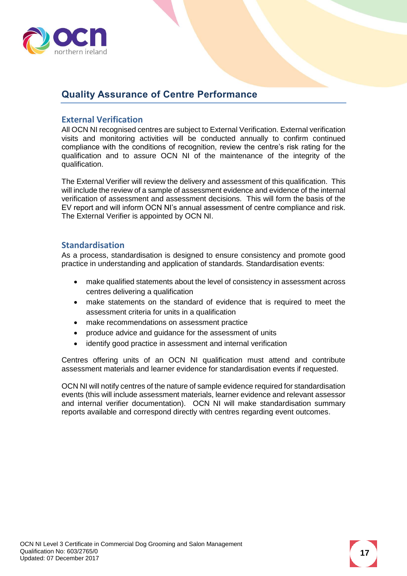

### <span id="page-16-0"></span>**Quality Assurance of Centre Performance**

#### <span id="page-16-1"></span>**External Verification**

All OCN NI recognised centres are subject to External Verification. External verification visits and monitoring activities will be conducted annually to confirm continued compliance with the conditions of recognition, review the centre's risk rating for the qualification and to assure OCN NI of the maintenance of the integrity of the qualification.

The External Verifier will review the delivery and assessment of this qualification. This will include the review of a sample of assessment evidence and evidence of the internal verification of assessment and assessment decisions. This will form the basis of the EV report and will inform OCN NI's annual assessment of centre compliance and risk. The External Verifier is appointed by OCN NI.

#### <span id="page-16-2"></span>**Standardisation**

As a process, standardisation is designed to ensure consistency and promote good practice in understanding and application of standards. Standardisation events:

- make qualified statements about the level of consistency in assessment across centres delivering a qualification
- make statements on the standard of evidence that is required to meet the assessment criteria for units in a qualification
- make recommendations on assessment practice
- produce advice and guidance for the assessment of units
- identify good practice in assessment and internal verification

Centres offering units of an OCN NI qualification must attend and contribute assessment materials and learner evidence for standardisation events if requested.

OCN NI will notify centres of the nature of sample evidence required for standardisation events (this will include assessment materials, learner evidence and relevant assessor and internal verifier documentation). OCN NI will make standardisation summary reports available and correspond directly with centres regarding event outcomes.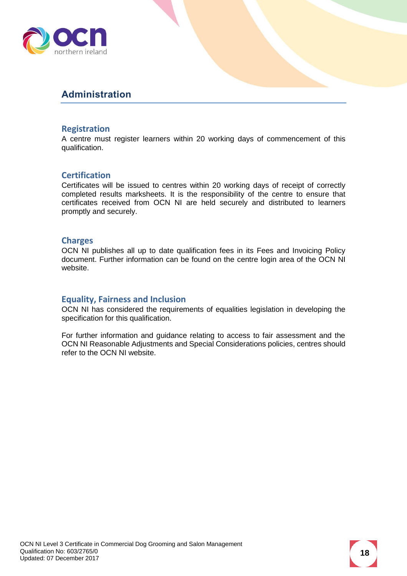

### <span id="page-17-0"></span>**Administration**

#### <span id="page-17-1"></span>**Registration**

A centre must register learners within 20 working days of commencement of this qualification.

#### <span id="page-17-2"></span>**Certification**

Certificates will be issued to centres within 20 working days of receipt of correctly completed results marksheets. It is the responsibility of the centre to ensure that certificates received from OCN NI are held securely and distributed to learners promptly and securely.

#### <span id="page-17-3"></span>**Charges**

OCN NI publishes all up to date qualification fees in its Fees and Invoicing Policy document. Further information can be found on the centre login area of the OCN NI website.

#### <span id="page-17-4"></span>**Equality, Fairness and Inclusion**

OCN NI has considered the requirements of equalities legislation in developing the specification for this qualification.

For further information and guidance relating to access to fair assessment and the OCN NI Reasonable Adjustments and Special Considerations policies, centres should refer to the OCN NI website.